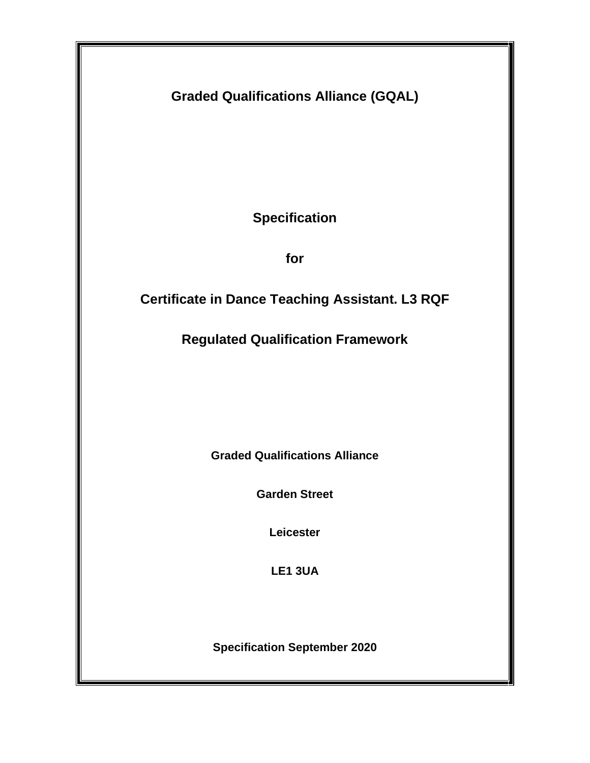**Graded Qualifications Alliance (GQAL)**

**Specification**

**for**

# **Certificate in Dance Teaching Assistant. L3 RQF**

**Regulated Qualification Framework**

**Graded Qualifications Alliance**

**Garden Street** 

**Leicester** 

**LE1 3UA**

**Specification September 2020**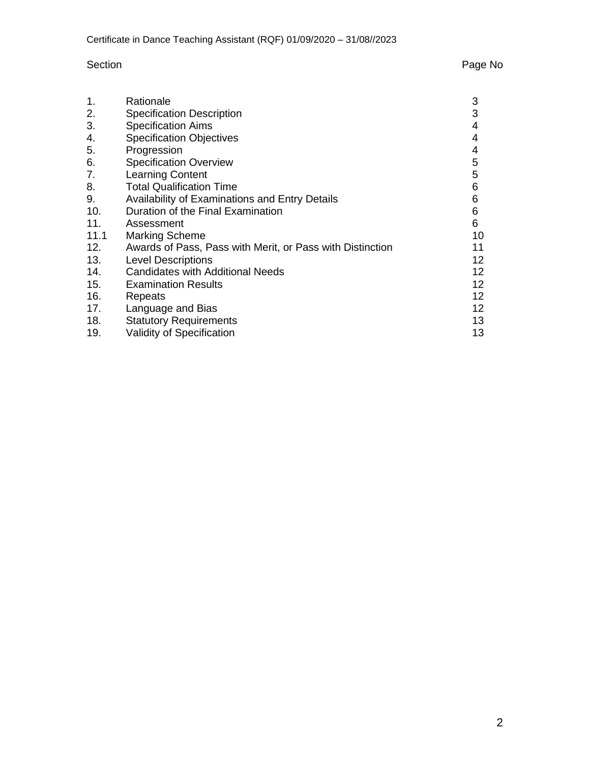## Section **Page No. 2018**

| 1.   | Rationale                                                 | 3     |
|------|-----------------------------------------------------------|-------|
| 2.   | <b>Specification Description</b>                          | 3     |
| 3.   | <b>Specification Aims</b>                                 | 4     |
| 4.   | <b>Specification Objectives</b>                           | 4     |
| 5.   | Progression                                               | 4     |
| 6.   | <b>Specification Overview</b>                             | 5     |
| 7.   | <b>Learning Content</b>                                   | 5     |
| 8.   | <b>Total Qualification Time</b>                           | 6     |
| 9.   | Availability of Examinations and Entry Details            | 6     |
| 10.  | Duration of the Final Examination                         | $\,6$ |
| 11.  | Assessment                                                | 6     |
| 11.1 | <b>Marking Scheme</b>                                     | 10    |
| 12.  | Awards of Pass, Pass with Merit, or Pass with Distinction | 11    |
| 13.  | <b>Level Descriptions</b>                                 | 12    |
| 14.  | <b>Candidates with Additional Needs</b>                   | 12    |
| 15.  | <b>Examination Results</b>                                | 12    |
| 16.  | Repeats                                                   | 12    |
| 17.  | Language and Bias                                         | 12    |
| 18.  | <b>Statutory Requirements</b>                             | 13    |
| 19.  | <b>Validity of Specification</b>                          | 13    |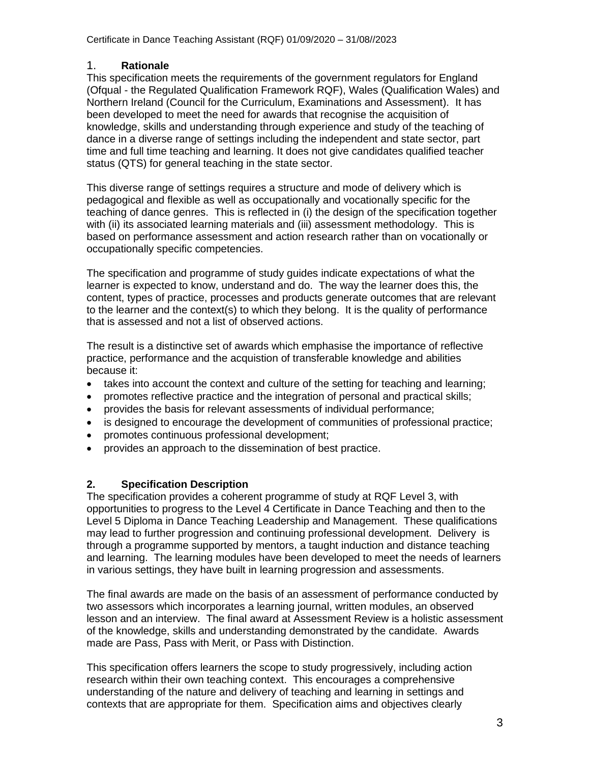### 1. **Rationale**

This specification meets the requirements of the government regulators for England (Ofqual - the Regulated Qualification Framework RQF), Wales (Qualification Wales) and Northern Ireland (Council for the Curriculum, Examinations and Assessment). It has been developed to meet the need for awards that recognise the acquisition of knowledge, skills and understanding through experience and study of the teaching of dance in a diverse range of settings including the independent and state sector, part time and full time teaching and learning. It does not give candidates qualified teacher status (QTS) for general teaching in the state sector.

This diverse range of settings requires a structure and mode of delivery which is pedagogical and flexible as well as occupationally and vocationally specific for the teaching of dance genres. This is reflected in (i) the design of the specification together with (ii) its associated learning materials and (iii) assessment methodology. This is based on performance assessment and action research rather than on vocationally or occupationally specific competencies.

The specification and programme of study guides indicate expectations of what the learner is expected to know, understand and do. The way the learner does this, the content, types of practice, processes and products generate outcomes that are relevant to the learner and the context(s) to which they belong. It is the quality of performance that is assessed and not a list of observed actions.

The result is a distinctive set of awards which emphasise the importance of reflective practice, performance and the acquistion of transferable knowledge and abilities because it:

- takes into account the context and culture of the setting for teaching and learning;
- promotes reflective practice and the integration of personal and practical skills;
- provides the basis for relevant assessments of individual performance;
- is designed to encourage the development of communities of professional practice;
- promotes continuous professional development;
- provides an approach to the dissemination of best practice.

### **2. Specification Description**

The specification provides a coherent programme of study at RQF Level 3, with opportunities to progress to the Level 4 Certificate in Dance Teaching and then to the Level 5 Diploma in Dance Teaching Leadership and Management. These qualifications may lead to further progression and continuing professional development. Delivery is through a programme supported by mentors, a taught induction and distance teaching and learning. The learning modules have been developed to meet the needs of learners in various settings, they have built in learning progression and assessments.

The final awards are made on the basis of an assessment of performance conducted by two assessors which incorporates a learning journal, written modules, an observed lesson and an interview. The final award at Assessment Review is a holistic assessment of the knowledge, skills and understanding demonstrated by the candidate. Awards made are Pass, Pass with Merit, or Pass with Distinction.

This specification offers learners the scope to study progressively, including action research within their own teaching context. This encourages a comprehensive understanding of the nature and delivery of teaching and learning in settings and contexts that are appropriate for them. Specification aims and objectives clearly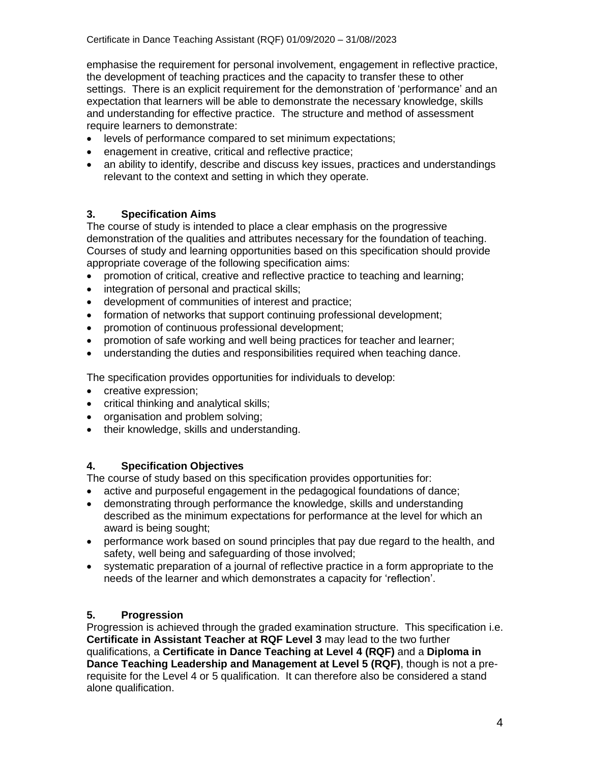emphasise the requirement for personal involvement, engagement in reflective practice, the development of teaching practices and the capacity to transfer these to other settings. There is an explicit requirement for the demonstration of 'performance' and an expectation that learners will be able to demonstrate the necessary knowledge, skills and understanding for effective practice. The structure and method of assessment require learners to demonstrate:

- levels of performance compared to set minimum expectations;
- enagement in creative, critical and reflective practice;
- an ability to identify, describe and discuss key issues, practices and understandings relevant to the context and setting in which they operate.

### **3. Specification Aims**

The course of study is intended to place a clear emphasis on the progressive demonstration of the qualities and attributes necessary for the foundation of teaching. Courses of study and learning opportunities based on this specification should provide appropriate coverage of the following specification aims:

- promotion of critical, creative and reflective practice to teaching and learning;
- integration of personal and practical skills;
- development of communities of interest and practice;
- formation of networks that support continuing professional development;
- promotion of continuous professional development;
- promotion of safe working and well being practices for teacher and learner;
- understanding the duties and responsibilities required when teaching dance.

The specification provides opportunities for individuals to develop:

- creative expression;
- critical thinking and analytical skills;
- organisation and problem solving;
- their knowledge, skills and understanding.

### **4. Specification Objectives**

The course of study based on this specification provides opportunities for:

- active and purposeful engagement in the pedagogical foundations of dance;
- demonstrating through performance the knowledge, skills and understanding described as the minimum expectations for performance at the level for which an award is being sought;
- performance work based on sound principles that pay due regard to the health, and safety, well being and safeguarding of those involved;
- systematic preparation of a journal of reflective practice in a form appropriate to the needs of the learner and which demonstrates a capacity for 'reflection'.

### **5. Progression**

Progression is achieved through the graded examination structure. This specification i.e. **Certificate in Assistant Teacher at RQF Level 3** may lead to the two further qualifications, a **Certificate in Dance Teaching at Level 4 (RQF)** and a **Diploma in Dance Teaching Leadership and Management at Level 5 (RQF)**, though is not a prerequisite for the Level 4 or 5 qualification. It can therefore also be considered a stand alone qualification.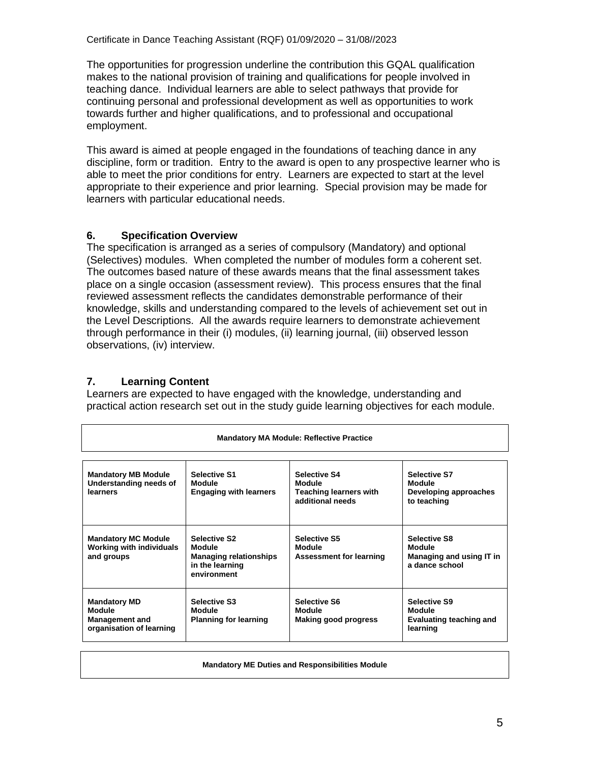The opportunities for progression underline the contribution this GQAL qualification makes to the national provision of training and qualifications for people involved in teaching dance. Individual learners are able to select pathways that provide for continuing personal and professional development as well as opportunities to work towards further and higher qualifications, and to professional and occupational employment.

This award is aimed at people engaged in the foundations of teaching dance in any discipline, form or tradition. Entry to the award is open to any prospective learner who is able to meet the prior conditions for entry. Learners are expected to start at the level appropriate to their experience and prior learning. Special provision may be made for learners with particular educational needs.

### **6. Specification Overview**

The specification is arranged as a series of compulsory (Mandatory) and optional (Selectives) modules. When completed the number of modules form a coherent set. The outcomes based nature of these awards means that the final assessment takes place on a single occasion (assessment review). This process ensures that the final reviewed assessment reflects the candidates demonstrable performance of their knowledge, skills and understanding compared to the levels of achievement set out in the Level Descriptions. All the awards require learners to demonstrate achievement through performance in their (i) modules, (ii) learning journal, (iii) observed lesson observations, (iv) interview.

### **7. Learning Content**

Learners are expected to have engaged with the knowledge, understanding and practical action research set out in the study guide learning objectives for each module.

| <b>Mandatory MA Module: Reflective Practice</b>                                           |                                                                                                  |                                                                                    |                                                                             |  |  |
|-------------------------------------------------------------------------------------------|--------------------------------------------------------------------------------------------------|------------------------------------------------------------------------------------|-----------------------------------------------------------------------------|--|--|
| <b>Mandatory MB Module</b><br>Understanding needs of<br>learners                          | <b>Selective S1</b><br>Module<br><b>Engaging with learners</b>                                   | <b>Selective S4</b><br>Module<br><b>Teaching learners with</b><br>additional needs | <b>Selective S7</b><br>Module<br>Developing approaches<br>to teaching       |  |  |
| <b>Mandatory MC Module</b><br><b>Working with individuals</b><br>and groups               | <b>Selective S2</b><br>Module<br><b>Managing relationships</b><br>in the learning<br>environment | <b>Selective S5</b><br>Module<br><b>Assessment for learning</b>                    | <b>Selective S8</b><br>Module<br>Managing and using IT in<br>a dance school |  |  |
| <b>Mandatory MD</b><br><b>Module</b><br><b>Management and</b><br>organisation of learning | <b>Selective S3</b><br>Module<br><b>Planning for learning</b>                                    | <b>Selective S6</b><br>Module<br>Making good progress                              | <b>Selective S9</b><br>Module<br><b>Evaluating teaching and</b><br>learning |  |  |

**Mandatory ME Duties and Responsibilities Module**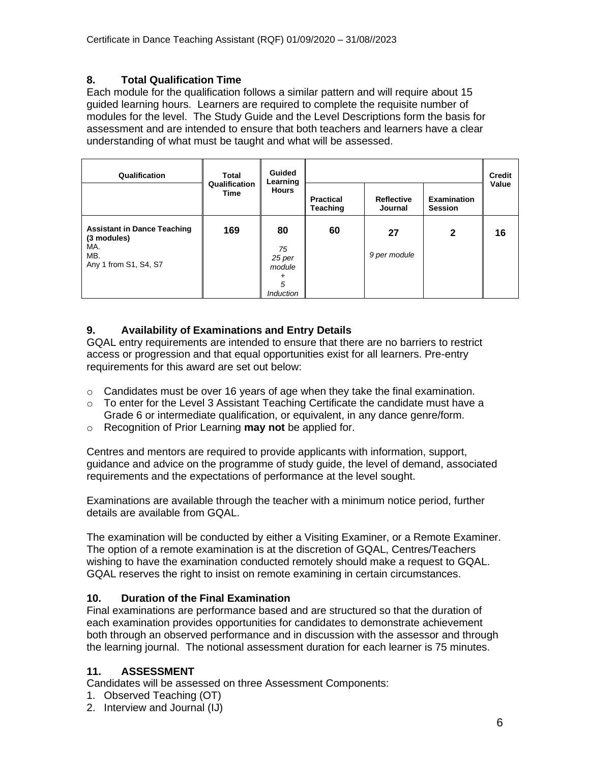### **8. Total Qualification Time**

Each module for the qualification follows a similar pattern and will require about 15 guided learning hours. Learners are required to complete the requisite number of modules for the level. The Study Guide and the Level Descriptions form the basis for assessment and are intended to ensure that both teachers and learners have a clear understanding of what must be taught and what will be assessed.

| Qualification                                                                            | Total                 | Guided<br>Learning                                         |                                     |                              |                                      | <b>Credit</b> |
|------------------------------------------------------------------------------------------|-----------------------|------------------------------------------------------------|-------------------------------------|------------------------------|--------------------------------------|---------------|
|                                                                                          | Qualification<br>Time |                                                            | <b>Practical</b><br><b>Teaching</b> | <b>Reflective</b><br>Journal | <b>Examination</b><br><b>Session</b> | Value         |
| <b>Assistant in Dance Teaching</b><br>(3 modules)<br>MA.<br>MB.<br>Any 1 from S1, S4, S7 | 169                   | 80<br>75<br>25 per<br>module<br>+<br>5<br><i>Induction</i> | 60                                  | 27<br>9 per module           | $\mathbf{2}$                         | 16            |

### **9. Availability of Examinations and Entry Details**

GQAL entry requirements are intended to ensure that there are no barriers to restrict access or progression and that equal opportunities exist for all learners. Pre-entry requirements for this award are set out below:

- $\circ$  Candidates must be over 16 years of age when they take the final examination.
- $\circ$  To enter for the Level 3 Assistant Teaching Certificate the candidate must have a Grade 6 or intermediate qualification, or equivalent, in any dance genre/form.
- o Recognition of Prior Learning **may not** be applied for.

Centres and mentors are required to provide applicants with information, support, guidance and advice on the programme of study guide, the level of demand, associated requirements and the expectations of performance at the level sought.

Examinations are available through the teacher with a minimum notice period, further details are available from GQAL.

The examination will be conducted by either a Visiting Examiner, or a Remote Examiner. The option of a remote examination is at the discretion of GQAL, Centres/Teachers wishing to have the examination conducted remotely should make a request to GQAL. GQAL reserves the right to insist on remote examining in certain circumstances.

### **10. Duration of the Final Examination**

Final examinations are performance based and are structured so that the duration of each examination provides opportunities for candidates to demonstrate achievement both through an observed performance and in discussion with the assessor and through the learning journal. The notional assessment duration for each learner is 75 minutes.

### **11. ASSESSMENT**

Candidates will be assessed on three Assessment Components:

- 1. Observed Teaching (OT)
- 2. Interview and Journal (IJ)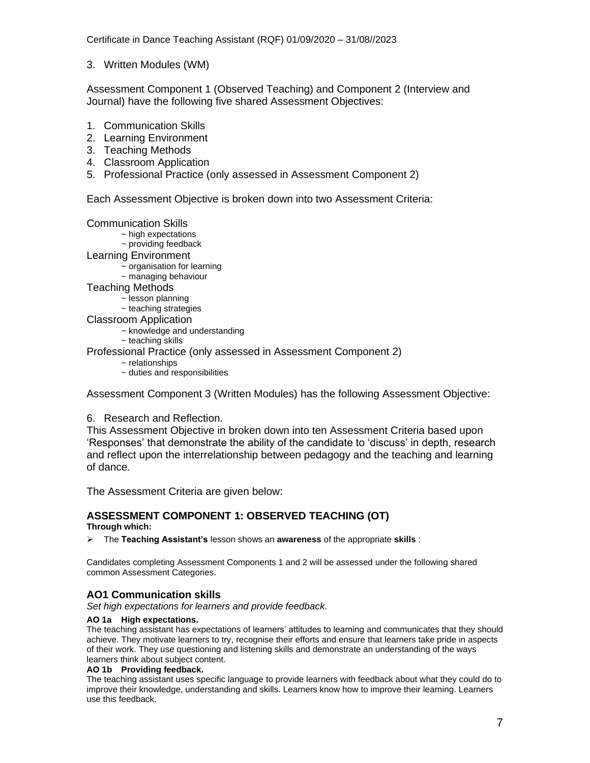Certificate in Dance Teaching Assistant (RQF) 01/09/2020 – 31/08//2023

3. Written Modules (WM)

Assessment Component 1 (Observed Teaching) and Component 2 (Interview and Journal) have the following five shared Assessment Objectives:

- 1. Communication Skills
- 2. Learning Environment
- 3. Teaching Methods
- 4. Classroom Application
- 5. Professional Practice (only assessed in Assessment Component 2)

Each Assessment Objective is broken down into two Assessment Criteria:

Communication Skills

- ~ high expectations
- ~ providing feedback
- Learning Environment
	- $\sim$  organisation for learning
	- ~ managing behaviour
- Teaching Methods
	- ~ lesson planning
	- ~ teaching strategies
- Classroom Application
	- ~ knowledge and understanding
	- $\sim$  teaching skills
- Professional Practice (only assessed in Assessment Component 2)
	- ~ relationships
	- ~ duties and responsibilities

Assessment Component 3 (Written Modules) has the following Assessment Objective:

#### 6. Research and Reflection.

This Assessment Objective in broken down into ten Assessment Criteria based upon 'Responses' that demonstrate the ability of the candidate to 'discuss' in depth, research and reflect upon the interrelationship between pedagogy and the teaching and learning of dance.

The Assessment Criteria are given below:

#### **ASSESSMENT COMPONENT 1: OBSERVED TEACHING (OT) Through which:**

➢ The **Teaching Assistant's** lesson shows an **awareness** of the appropriate **skills** :

Candidates completing Assessment Components 1 and 2 will be assessed under the following shared common Assessment Categories.

### **AO1 Communication skills**

*Set high expectations for learners and provide feedback.*

#### **AO 1a High expectations.**

The teaching assistant has expectations of learners' attitudes to learning and communicates that they should achieve. They motivate learners to try, recognise their efforts and ensure that learners take pride in aspects of their work. They use questioning and listening skills and demonstrate an understanding of the ways learners think about subject content.

#### **AO 1b Providing feedback.**

The teaching assistant uses specific language to provide learners with feedback about what they could do to improve their knowledge, understanding and skills. Learners know how to improve their learning. Learners use this feedback.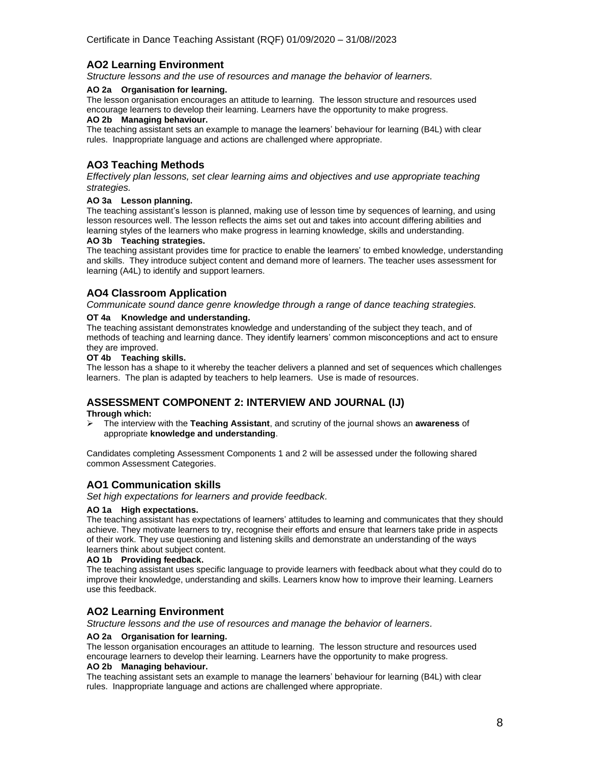### **AO2 Learning Environment**

*Structure lessons and the use of resources and manage the behavior of learners.*

#### **AO 2a Organisation for learning.**

The lesson organisation encourages an attitude to learning. The lesson structure and resources used encourage learners to develop their learning. Learners have the opportunity to make progress.

#### **AO 2b Managing behaviour.**

The teaching assistant sets an example to manage the learners' behaviour for learning (B4L) with clear rules. Inappropriate language and actions are challenged where appropriate.

### **AO3 Teaching Methods**

*Effectively plan lessons, set clear learning aims and objectives and use appropriate teaching strategies.*

#### **AO 3a Lesson planning.**

The teaching assistant's lesson is planned, making use of lesson time by sequences of learning, and using lesson resources well. The lesson reflects the aims set out and takes into account differing abilities and learning styles of the learners who make progress in learning knowledge, skills and understanding.

#### **AO 3b Teaching strategies.**

The teaching assistant provides time for practice to enable the learners' to embed knowledge, understanding and skills. They introduce subject content and demand more of learners. The teacher uses assessment for learning (A4L) to identify and support learners.

### **AO4 Classroom Application**

*Communicate sound dance genre knowledge through a range of dance teaching strategies.*

#### **OT 4a Knowledge and understanding.**

The teaching assistant demonstrates knowledge and understanding of the subject they teach, and of methods of teaching and learning dance. They identify learners' common misconceptions and act to ensure they are improved.

#### **OT 4b Teaching skills.**

The lesson has a shape to it whereby the teacher delivers a planned and set of sequences which challenges learners. The plan is adapted by teachers to help learners. Use is made of resources.

### **ASSESSMENT COMPONENT 2: INTERVIEW AND JOURNAL (IJ)**

**Through which:**

➢ The interview with the **Teaching Assistant**, and scrutiny of the journal shows an **awareness** of appropriate **knowledge and understanding**.

Candidates completing Assessment Components 1 and 2 will be assessed under the following shared common Assessment Categories.

### **AO1 Communication skills**

*Set high expectations for learners and provide feedback.*

#### **AO 1a High expectations.**

The teaching assistant has expectations of learners' attitudes to learning and communicates that they should achieve. They motivate learners to try, recognise their efforts and ensure that learners take pride in aspects of their work. They use questioning and listening skills and demonstrate an understanding of the ways learners think about subject content.

#### **AO 1b Providing feedback.**

The teaching assistant uses specific language to provide learners with feedback about what they could do to improve their knowledge, understanding and skills. Learners know how to improve their learning. Learners use this feedback.

#### **AO2 Learning Environment**

*Structure lessons and the use of resources and manage the behavior of learners.*

#### **AO 2a Organisation for learning.**

The lesson organisation encourages an attitude to learning. The lesson structure and resources used encourage learners to develop their learning. Learners have the opportunity to make progress.

#### **AO 2b Managing behaviour.**

The teaching assistant sets an example to manage the learners' behaviour for learning (B4L) with clear rules. Inappropriate language and actions are challenged where appropriate.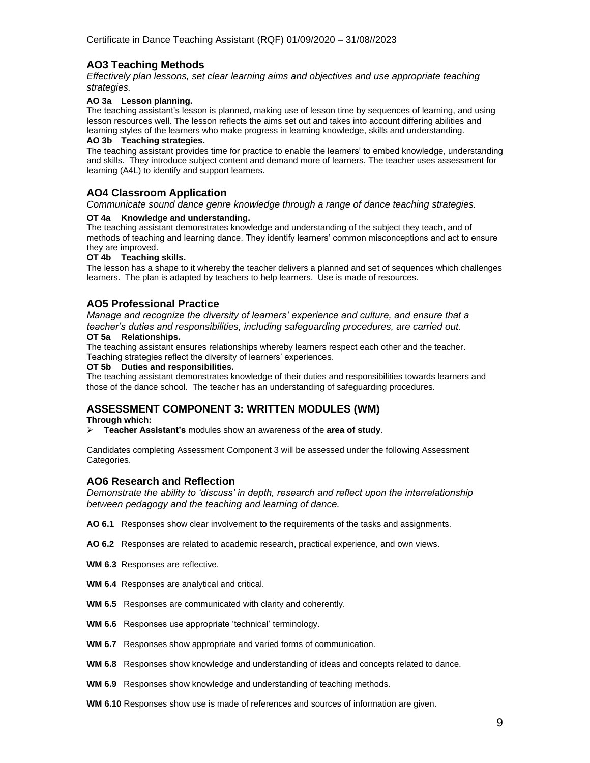### **AO3 Teaching Methods**

*Effectively plan lessons, set clear learning aims and objectives and use appropriate teaching strategies.*

#### **AO 3a Lesson planning.**

The teaching assistant's lesson is planned, making use of lesson time by sequences of learning, and using lesson resources well. The lesson reflects the aims set out and takes into account differing abilities and learning styles of the learners who make progress in learning knowledge, skills and understanding.

#### **AO 3b Teaching strategies.**

The teaching assistant provides time for practice to enable the learners' to embed knowledge, understanding and skills. They introduce subject content and demand more of learners. The teacher uses assessment for learning (A4L) to identify and support learners.

#### **AO4 Classroom Application**

*Communicate sound dance genre knowledge through a range of dance teaching strategies.*

#### **OT 4a Knowledge and understanding.**

The teaching assistant demonstrates knowledge and understanding of the subject they teach, and of methods of teaching and learning dance. They identify learners' common misconceptions and act to ensure they are improved.

#### **OT 4b Teaching skills.**

The lesson has a shape to it whereby the teacher delivers a planned and set of sequences which challenges learners. The plan is adapted by teachers to help learners. Use is made of resources.

#### **AO5 Professional Practice**

*Manage and recognize the diversity of learners' experience and culture, and ensure that a teacher's duties and responsibilities, including safeguarding procedures, are carried out.*

#### **OT 5a Relationships.**

The teaching assistant ensures relationships whereby learners respect each other and the teacher. Teaching strategies reflect the diversity of learners' experiences.

#### **OT 5b Duties and responsibilities.**

The teaching assistant demonstrates knowledge of their duties and responsibilities towards learners and those of the dance school. The teacher has an understanding of safeguarding procedures.

#### **ASSESSMENT COMPONENT 3: WRITTEN MODULES (WM)**

**Through which:**

➢ **Teacher Assistant's** modules show an awareness of the **area of study**.

Candidates completing Assessment Component 3 will be assessed under the following Assessment Categories.

#### **AO6 Research and Reflection**

*Demonstrate the ability to 'discuss' in depth, research and reflect upon the interrelationship between pedagogy and the teaching and learning of dance.*

- **AO 6.1** Responses show clear involvement to the requirements of the tasks and assignments.
- **AO 6.2** Responses are related to academic research, practical experience, and own views.
- **WM 6.3** Responses are reflective.
- **WM 6.4** Responses are analytical and critical.
- **WM 6.5** Responses are communicated with clarity and coherently.
- **WM 6.6** Responses use appropriate 'technical' terminology.
- **WM 6.7** Responses show appropriate and varied forms of communication.
- **WM 6.8** Responses show knowledge and understanding of ideas and concepts related to dance.
- **WM 6.9** Responses show knowledge and understanding of teaching methods.
- **WM 6.10** Responses show use is made of references and sources of information are given.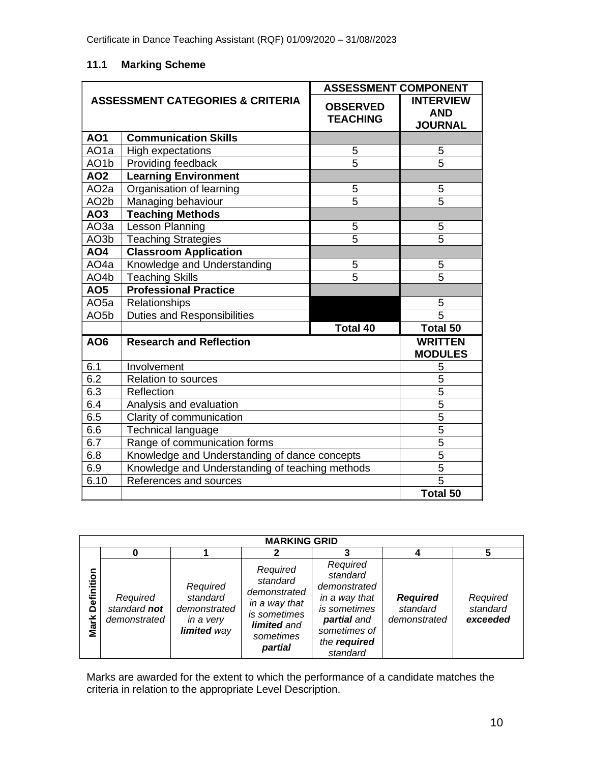### **11.1 Marking Scheme**

|                                             |                                                 | <b>ASSESSMENT COMPONENT</b>        |                                                  |  |
|---------------------------------------------|-------------------------------------------------|------------------------------------|--------------------------------------------------|--|
| <b>ASSESSMENT CATEGORIES &amp; CRITERIA</b> |                                                 | <b>OBSERVED</b><br><b>TEACHING</b> | <b>INTERVIEW</b><br><b>AND</b><br><b>JOURNAL</b> |  |
| <b>AO1</b>                                  | <b>Communication Skills</b>                     |                                    |                                                  |  |
| AO <sub>1a</sub>                            | High expectations                               | 5                                  | 5                                                |  |
| AO <sub>1</sub> b                           | Providing feedback                              | 5                                  | 5                                                |  |
| <b>AO2</b>                                  | <b>Learning Environment</b>                     |                                    |                                                  |  |
| AO <sub>2a</sub>                            | Organisation of learning                        | 5                                  | 5                                                |  |
| AO <sub>2</sub> b                           | Managing behaviour                              | $\overline{5}$                     | $\overline{5}$                                   |  |
| AO <sub>3</sub>                             | <b>Teaching Methods</b>                         |                                    |                                                  |  |
| AO3a                                        | <b>Lesson Planning</b>                          | 5                                  | 5                                                |  |
| AO3b                                        | <b>Teaching Strategies</b>                      | $\overline{5}$                     | $\overline{5}$                                   |  |
| AO4                                         | <b>Classroom Application</b>                    |                                    |                                                  |  |
| AO <sub>4a</sub>                            | Knowledge and Understanding                     | 5                                  | 5                                                |  |
| AO <sub>4</sub> b                           | <b>Teaching Skills</b>                          | $\overline{5}$                     | $\overline{5}$                                   |  |
| AO <sub>5</sub>                             | <b>Professional Practice</b>                    |                                    |                                                  |  |
| AO <sub>5a</sub>                            | Relationships                                   |                                    | 5                                                |  |
| AO <sub>5</sub> b                           | <b>Duties and Responsibilities</b>              |                                    | $\overline{5}$                                   |  |
|                                             |                                                 | <b>Total 40</b>                    | <b>Total 50</b>                                  |  |
| AO6                                         | <b>Research and Reflection</b>                  |                                    | <b>WRITTEN</b><br><b>MODULES</b>                 |  |
| 6.1                                         | Involvement                                     |                                    | 5                                                |  |
| 6.2                                         | Relation to sources                             |                                    | $\overline{5}$                                   |  |
| 6.3                                         | Reflection                                      | $\overline{5}$                     |                                                  |  |
| 6.4                                         | Analysis and evaluation                         | $\overline{5}$                     |                                                  |  |
| 6.5                                         | Clarity of communication                        | $\overline{5}$                     |                                                  |  |
| 6.6                                         | Technical language                              | 5                                  |                                                  |  |
| 6.7                                         | Range of communication forms                    | $\overline{5}$                     |                                                  |  |
| 6.8                                         | Knowledge and Understanding of dance concepts   | $\overline{5}$                     |                                                  |  |
| 6.9                                         | Knowledge and Understanding of teaching methods | $\overline{5}$                     |                                                  |  |
| 6.10                                        | References and sources                          |                                    | $\overline{5}$                                   |  |
|                                             |                                                 |                                    | <b>Total 50</b>                                  |  |

| <b>MARKING GRID</b> |                                          |                                                                  |                                                                                                              |                                                                                                                                  |                                             |                                  |
|---------------------|------------------------------------------|------------------------------------------------------------------|--------------------------------------------------------------------------------------------------------------|----------------------------------------------------------------------------------------------------------------------------------|---------------------------------------------|----------------------------------|
|                     |                                          |                                                                  |                                                                                                              |                                                                                                                                  |                                             | 5                                |
| Definition<br>Mark  | Required<br>standard not<br>demonstrated | Required<br>standard<br>demonstrated<br>in a very<br>limited way | Required<br>standard<br>demonstrated<br>in a way that<br>is sometimes<br>limited and<br>sometimes<br>partial | Required<br>standard<br>demonstrated<br>in a way that<br>is sometimes<br>partial and<br>sometimes of<br>the required<br>standard | <b>Required</b><br>standard<br>demonstrated | Required<br>standard<br>exceeded |

Marks are awarded for the extent to which the performance of a candidate matches the criteria in relation to the appropriate Level Description.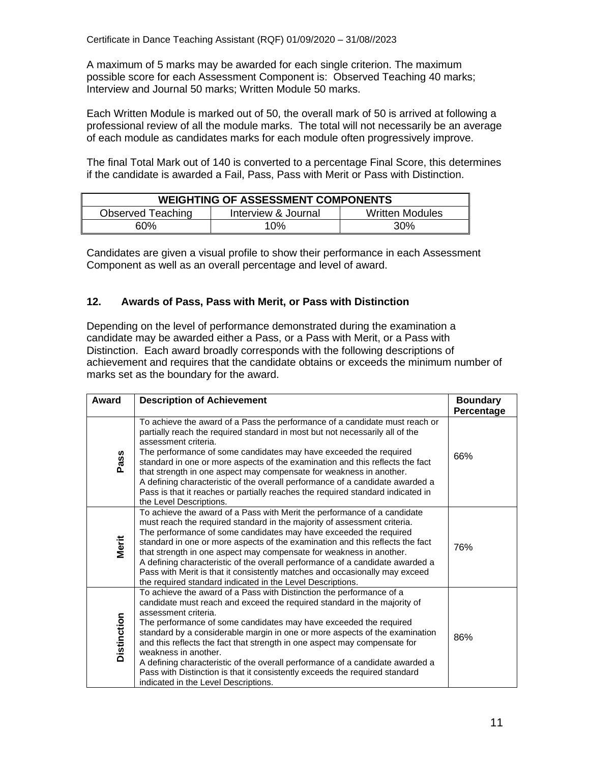A maximum of 5 marks may be awarded for each single criterion. The maximum possible score for each Assessment Component is: Observed Teaching 40 marks; Interview and Journal 50 marks; Written Module 50 marks.

Each Written Module is marked out of 50, the overall mark of 50 is arrived at following a professional review of all the module marks. The total will not necessarily be an average of each module as candidates marks for each module often progressively improve.

The final Total Mark out of 140 is converted to a percentage Final Score, this determines if the candidate is awarded a Fail, Pass, Pass with Merit or Pass with Distinction.

| <b>WEIGHTING OF ASSESSMENT COMPONENTS</b> |                     |                        |  |  |
|-------------------------------------------|---------------------|------------------------|--|--|
| Observed Teaching                         | Interview & Journal | <b>Written Modules</b> |  |  |
| 60%                                       | 10%                 | 30%                    |  |  |

Candidates are given a visual profile to show their performance in each Assessment Component as well as an overall percentage and level of award.

### **12. Awards of Pass, Pass with Merit, or Pass with Distinction**

Depending on the level of performance demonstrated during the examination a candidate may be awarded either a Pass, or a Pass with Merit, or a Pass with Distinction. Each award broadly corresponds with the following descriptions of achievement and requires that the candidate obtains or exceeds the minimum number of marks set as the boundary for the award.

| Award              | <b>Description of Achievement</b>                                                                                                                                                                                                                                                                                                                                                                                                                                                                                                                                                                                                         | <b>Boundary</b><br>Percentage |
|--------------------|-------------------------------------------------------------------------------------------------------------------------------------------------------------------------------------------------------------------------------------------------------------------------------------------------------------------------------------------------------------------------------------------------------------------------------------------------------------------------------------------------------------------------------------------------------------------------------------------------------------------------------------------|-------------------------------|
| Pass               | To achieve the award of a Pass the performance of a candidate must reach or<br>partially reach the required standard in most but not necessarily all of the<br>assessment criteria.<br>The performance of some candidates may have exceeded the required<br>standard in one or more aspects of the examination and this reflects the fact<br>that strength in one aspect may compensate for weakness in another.<br>A defining characteristic of the overall performance of a candidate awarded a<br>Pass is that it reaches or partially reaches the required standard indicated in<br>the Level Descriptions.                           | 66%                           |
| Merit              | To achieve the award of a Pass with Merit the performance of a candidate<br>must reach the required standard in the majority of assessment criteria.<br>The performance of some candidates may have exceeded the required<br>standard in one or more aspects of the examination and this reflects the fact<br>that strength in one aspect may compensate for weakness in another.<br>A defining characteristic of the overall performance of a candidate awarded a<br>Pass with Merit is that it consistently matches and occasionally may exceed<br>the required standard indicated in the Level Descriptions.                           | 76%                           |
| <b>Distinction</b> | To achieve the award of a Pass with Distinction the performance of a<br>candidate must reach and exceed the required standard in the majority of<br>assessment criteria.<br>The performance of some candidates may have exceeded the required<br>standard by a considerable margin in one or more aspects of the examination<br>and this reflects the fact that strength in one aspect may compensate for<br>weakness in another.<br>A defining characteristic of the overall performance of a candidate awarded a<br>Pass with Distinction is that it consistently exceeds the required standard<br>indicated in the Level Descriptions. | 86%                           |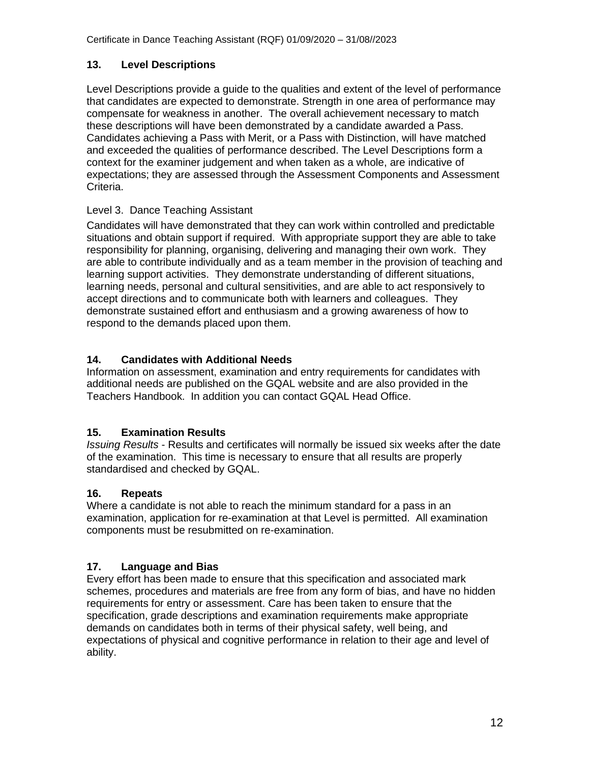### **13. Level Descriptions**

Level Descriptions provide a guide to the qualities and extent of the level of performance that candidates are expected to demonstrate. Strength in one area of performance may compensate for weakness in another. The overall achievement necessary to match these descriptions will have been demonstrated by a candidate awarded a Pass. Candidates achieving a Pass with Merit, or a Pass with Distinction, will have matched and exceeded the qualities of performance described. The Level Descriptions form a context for the examiner judgement and when taken as a whole, are indicative of expectations; they are assessed through the Assessment Components and Assessment Criteria.

### Level 3. Dance Teaching Assistant

Candidates will have demonstrated that they can work within controlled and predictable situations and obtain support if required. With appropriate support they are able to take responsibility for planning, organising, delivering and managing their own work. They are able to contribute individually and as a team member in the provision of teaching and learning support activities. They demonstrate understanding of different situations, learning needs, personal and cultural sensitivities, and are able to act responsively to accept directions and to communicate both with learners and colleagues. They demonstrate sustained effort and enthusiasm and a growing awareness of how to respond to the demands placed upon them.

### **14. Candidates with Additional Needs**

Information on assessment, examination and entry requirements for candidates with additional needs are published on the GQAL website and are also provided in the Teachers Handbook. In addition you can contact GQAL Head Office.

### **15. Examination Results**

*Issuing Results* - Results and certificates will normally be issued six weeks after the date of the examination. This time is necessary to ensure that all results are properly standardised and checked by GQAL.

### **16. Repeats**

Where a candidate is not able to reach the minimum standard for a pass in an examination, application for re-examination at that Level is permitted. All examination components must be resubmitted on re-examination.

### **17. Language and Bias**

Every effort has been made to ensure that this specification and associated mark schemes, procedures and materials are free from any form of bias, and have no hidden requirements for entry or assessment. Care has been taken to ensure that the specification, grade descriptions and examination requirements make appropriate demands on candidates both in terms of their physical safety, well being, and expectations of physical and cognitive performance in relation to their age and level of ability.